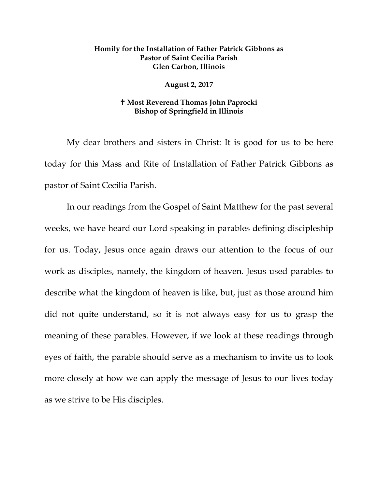## **Homily for the Installation of Father Patrick Gibbons as Pastor of Saint Cecilia Parish Glen Carbon, Illinois**

## **August 2, 2017**

## **Most Reverend Thomas John Paprocki Bishop of Springfield in Illinois**

My dear brothers and sisters in Christ: It is good for us to be here today for this Mass and Rite of Installation of Father Patrick Gibbons as pastor of Saint Cecilia Parish.

In our readings from the Gospel of Saint Matthew for the past several weeks, we have heard our Lord speaking in parables defining discipleship for us. Today, Jesus once again draws our attention to the focus of our work as disciples, namely, the kingdom of heaven. Jesus used parables to describe what the kingdom of heaven is like, but, just as those around him did not quite understand, so it is not always easy for us to grasp the meaning of these parables. However, if we look at these readings through eyes of faith, the parable should serve as a mechanism to invite us to look more closely at how we can apply the message of Jesus to our lives today as we strive to be His disciples.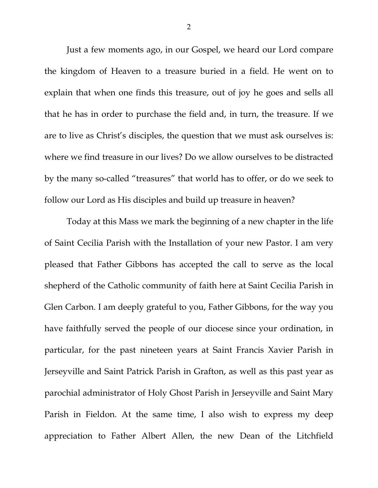Just a few moments ago, in our Gospel, we heard our Lord compare the kingdom of Heaven to a treasure buried in a field. He went on to explain that when one finds this treasure, out of joy he goes and sells all that he has in order to purchase the field and, in turn, the treasure. If we are to live as Christ's disciples, the question that we must ask ourselves is: where we find treasure in our lives? Do we allow ourselves to be distracted by the many so-called "treasures" that world has to offer, or do we seek to follow our Lord as His disciples and build up treasure in heaven?

Today at this Mass we mark the beginning of a new chapter in the life of Saint Cecilia Parish with the Installation of your new Pastor. I am very pleased that Father Gibbons has accepted the call to serve as the local shepherd of the Catholic community of faith here at Saint Cecilia Parish in Glen Carbon. I am deeply grateful to you, Father Gibbons, for the way you have faithfully served the people of our diocese since your ordination, in particular, for the past nineteen years at Saint Francis Xavier Parish in Jerseyville and Saint Patrick Parish in Grafton, as well as this past year as parochial administrator of Holy Ghost Parish in Jerseyville and Saint Mary Parish in Fieldon. At the same time, I also wish to express my deep appreciation to Father Albert Allen, the new Dean of the Litchfield

2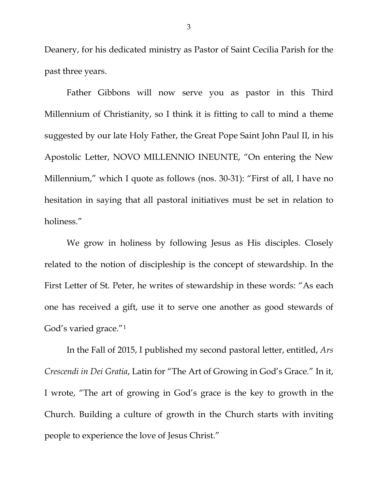Deanery, for his dedicated ministry as Pastor of Saint Cecilia Parish for the past three years.

Father Gibbons will now serve you as pastor in this Third Millennium of Christianity, so I think it is fitting to call to mind a theme suggested by our late Holy Father, the Great Pope Saint John Paul II, in his Apostolic Letter, NOVO MILLENNIO INEUNTE, "On entering the New Millennium," which I quote as follows (nos. 30-31): "First of all, I have no hesitation in saying that all pastoral initiatives must be set in relation to holiness."

We grow in holiness by following Jesus as His disciples. Closely related to the notion of discipleship is the concept of stewardship. In the First Letter of St. Peter, he writes of stewardship in these words: "As each one has received a gift, use it to serve one another as good stewards of God's varied grace."[1](#page-6-0)

In the Fall of 2015, I published my second pastoral letter, entitled, *Ars Crescendi in Dei Gratia*, Latin for "The Art of Growing in God's Grace." In it, I wrote, "The art of growing in God's grace is the key to growth in the Church. Building a culture of growth in the Church starts with inviting people to experience the love of Jesus Christ."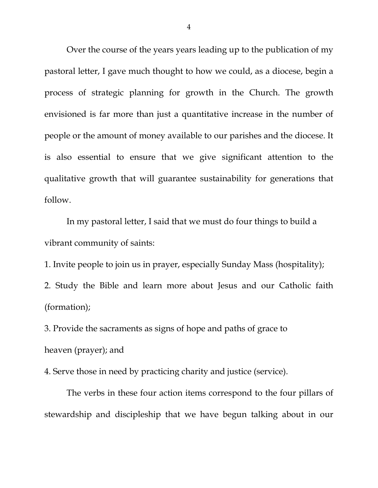Over the course of the years years leading up to the publication of my pastoral letter, I gave much thought to how we could, as a diocese, begin a process of strategic planning for growth in the Church. The growth envisioned is far more than just a quantitative increase in the number of people or the amount of money available to our parishes and the diocese. It is also essential to ensure that we give significant attention to the qualitative growth that will guarantee sustainability for generations that follow.

In my pastoral letter, I said that we must do four things to build a vibrant community of saints:

1. Invite people to join us in prayer, especially Sunday Mass (hospitality);

2. Study the Bible and learn more about Jesus and our Catholic faith (formation);

3. Provide the sacraments as signs of hope and paths of grace to heaven (prayer); and

4. Serve those in need by practicing charity and justice (service).

The verbs in these four action items correspond to the four pillars of stewardship and discipleship that we have begun talking about in our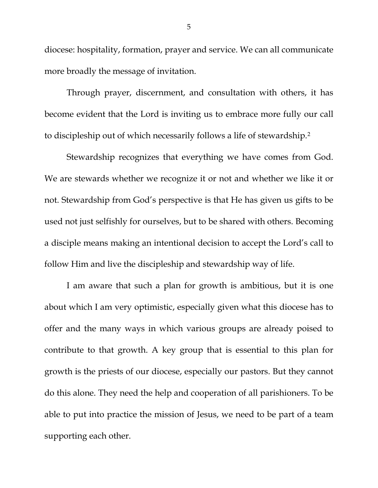diocese: hospitality, formation, prayer and service. We can all communicate more broadly the message of invitation.

Through prayer, discernment, and consultation with others, it has become evident that the Lord is inviting us to embrace more fully our call to discipleship out of which necessarily follows a life of stewardship.[2](#page-6-1)

Stewardship recognizes that everything we have comes from God. We are stewards whether we recognize it or not and whether we like it or not. Stewardship from God's perspective is that He has given us gifts to be used not just selfishly for ourselves, but to be shared with others. Becoming a disciple means making an intentional decision to accept the Lord's call to follow Him and live the discipleship and stewardship way of life.

I am aware that such a plan for growth is ambitious, but it is one about which I am very optimistic, especially given what this diocese has to offer and the many ways in which various groups are already poised to contribute to that growth. A key group that is essential to this plan for growth is the priests of our diocese, especially our pastors. But they cannot do this alone. They need the help and cooperation of all parishioners. To be able to put into practice the mission of Jesus, we need to be part of a team supporting each other.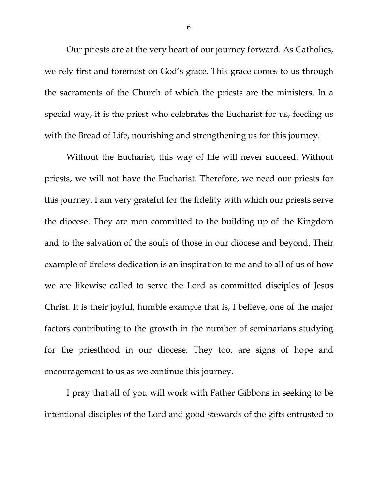Our priests are at the very heart of our journey forward. As Catholics, we rely first and foremost on God's grace. This grace comes to us through the sacraments of the Church of which the priests are the ministers. In a special way, it is the priest who celebrates the Eucharist for us, feeding us with the Bread of Life, nourishing and strengthening us for this journey.

Without the Eucharist, this way of life will never succeed. Without priests, we will not have the Eucharist. Therefore, we need our priests for this journey. I am very grateful for the fidelity with which our priests serve the diocese. They are men committed to the building up of the Kingdom and to the salvation of the souls of those in our diocese and beyond. Their example of tireless dedication is an inspiration to me and to all of us of how we are likewise called to serve the Lord as committed disciples of Jesus Christ. It is their joyful, humble example that is, I believe, one of the major factors contributing to the growth in the number of seminarians studying for the priesthood in our diocese. They too, are signs of hope and encouragement to us as we continue this journey.

I pray that all of you will work with Father Gibbons in seeking to be intentional disciples of the Lord and good stewards of the gifts entrusted to

6